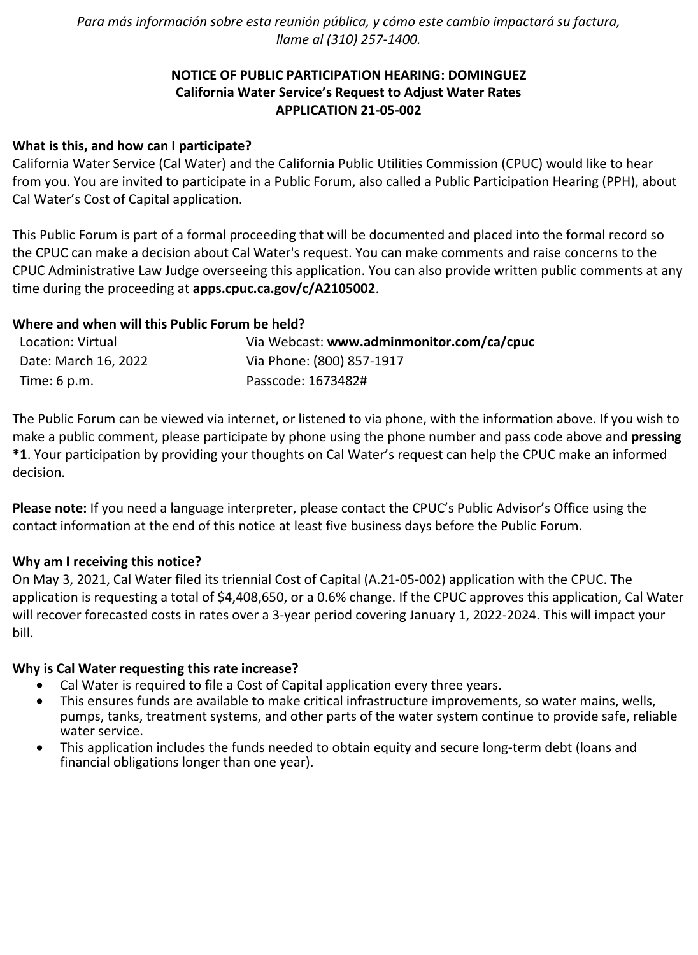*Para más información sobre esta reunión pública, y cómo este cambio impactará su factura, llame al (310) 257-1400.*

# **NOTICE OF PUBLIC PARTICIPATION HEARING: DOMINGUEZ California Water Service's Request to Adjust Water Rates APPLICATION 21-05-002**

# **What is this, and how can I participate?**

California Water Service (Cal Water) and the California Public Utilities Commission (CPUC) would like to hear from you. You are invited to participate in a Public Forum, also called a Public Participation Hearing (PPH), about Cal Water's Cost of Capital application.

This Public Forum is part of a formal proceeding that will be documented and placed into the formal record so the CPUC can make a decision about Cal Water's request. You can make comments and raise concerns to the CPUC Administrative Law Judge overseeing this application. You can also provide written public comments at any time during the proceeding at **[apps.cpuc.ca.gov/c/A2105002](https://apps.cpuc.ca.gov/apex/f?p=401:65:0::NO:RP,57,RIR:P5_PROCEEDING_SELECT:A2105002)**.

## **Where and when will this Public Forum be held?**

| Location: Virtual      | Via Webcast: www.adminmonitor.com/ca/cpuc |
|------------------------|-------------------------------------------|
| Date: March 16, 2022   | Via Phone: (800) 857-1917                 |
| Time: $6 \text{ p.m.}$ | Passcode: 1673482#                        |

The Public Forum can be viewed via internet, or listened to via phone, with the information above. If you wish to make a public comment, please participate by phone using the phone number and pass code above and **pressing \*1**. Your participation by providing your thoughts on Cal Water's request can help the CPUC make an informed decision.

**Please note:** If you need a language interpreter, please contact the CPUC's Public Advisor's Office using the contact information at the end of this notice at least five business days before the Public Forum.

#### **Why am I receiving this notice?**

On May 3, 2021, Cal Water filed its triennial Cost of Capital (A.21-05-002) application with the CPUC. The application is requesting a total of \$4,408,650, or a 0.6% change. If the CPUC approves this application, Cal Water will recover forecasted costs in rates over a 3-year period covering January 1, 2022-2024. This will impact your bill.

#### **Why is Cal Water requesting this rate increase?**

- Cal Water is required to file a Cost of Capital application every three years.
- This ensures funds are available to make critical infrastructure improvements, so water mains, wells, pumps, tanks, treatment systems, and other parts of the water system continue to provide safe, reliable water service.
- This application includes the funds needed to obtain equity and secure long-term debt (loans and financial obligations longer than one year).